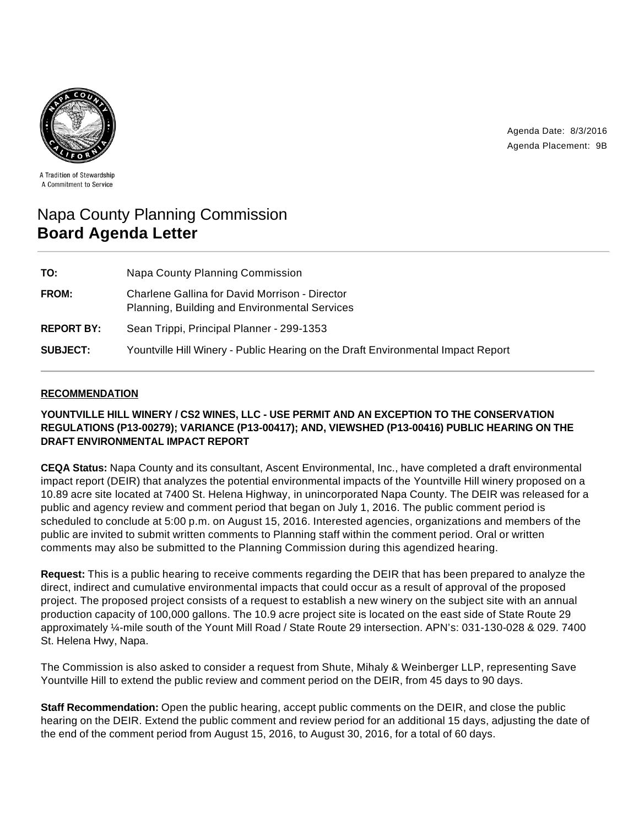Agenda Date: 8/3/2016 Agenda Placement: 9B



A Tradition of Stewardship A Commitment to Service

# Napa County Planning Commission **Board Agenda Letter**

| TO:               | Napa County Planning Commission                                                                 |
|-------------------|-------------------------------------------------------------------------------------------------|
| FROM:             | Charlene Gallina for David Morrison - Director<br>Planning, Building and Environmental Services |
| <b>REPORT BY:</b> | Sean Trippi, Principal Planner - 299-1353                                                       |
| <b>SUBJECT:</b>   | Yountville Hill Winery - Public Hearing on the Draft Environmental Impact Report                |

# **RECOMMENDATION**

**YOUNTVILLE HILL WINERY / CS2 WINES, LLC - USE PERMIT AND AN EXCEPTION TO THE CONSERVATION REGULATIONS (P13-00279); VARIANCE (P13-00417); AND, VIEWSHED (P13-00416) PUBLIC HEARING ON THE DRAFT ENVIRONMENTAL IMPACT REPORT**

**CEQA Status:** Napa County and its consultant, Ascent Environmental, Inc., have completed a draft environmental impact report (DEIR) that analyzes the potential environmental impacts of the Yountville Hill winery proposed on a 10.89 acre site located at 7400 St. Helena Highway, in unincorporated Napa County. The DEIR was released for a public and agency review and comment period that began on July 1, 2016. The public comment period is scheduled to conclude at 5:00 p.m. on August 15, 2016. Interested agencies, organizations and members of the public are invited to submit written comments to Planning staff within the comment period. Oral or written comments may also be submitted to the Planning Commission during this agendized hearing.

**Request:** This is a public hearing to receive comments regarding the DEIR that has been prepared to analyze the direct, indirect and cumulative environmental impacts that could occur as a result of approval of the proposed project. The proposed project consists of a request to establish a new winery on the subject site with an annual production capacity of 100,000 gallons. The 10.9 acre project site is located on the east side of State Route 29 approximately ¼-mile south of the Yount Mill Road / State Route 29 intersection. APN's: 031-130-028 & 029. 7400 St. Helena Hwy, Napa.

The Commission is also asked to consider a request from Shute, Mihaly & Weinberger LLP, representing Save Yountville Hill to extend the public review and comment period on the DEIR, from 45 days to 90 days.

**Staff Recommendation:** Open the public hearing, accept public comments on the DEIR, and close the public hearing on the DEIR. Extend the public comment and review period for an additional 15 days, adjusting the date of the end of the comment period from August 15, 2016, to August 30, 2016, for a total of 60 days.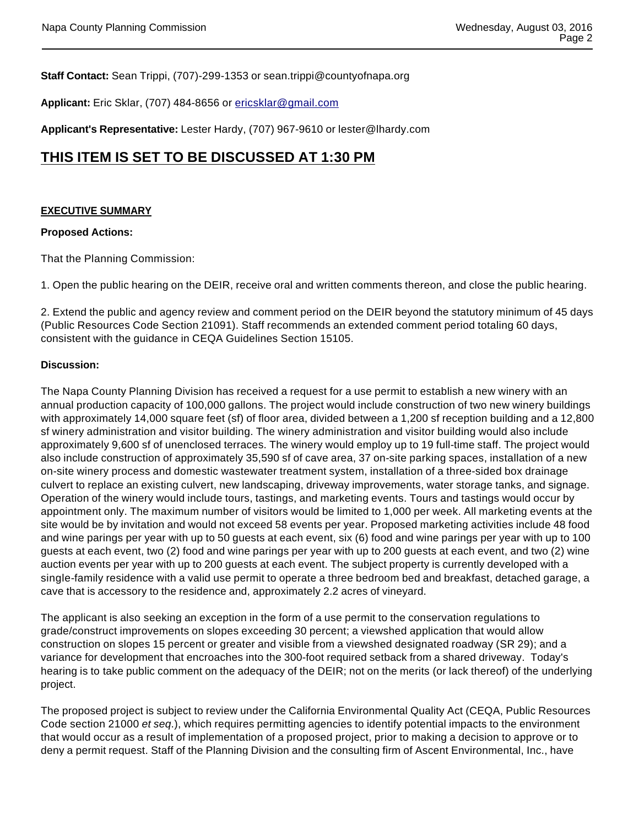**Staff Contact:** Sean Trippi, (707)-299-1353 or sean.trippi@countyofnapa.org

**Applicant:** Eric Sklar, (707) 484-8656 or ericsklar@gmail.com

**Applicant's Representative:** Lester Hardy, (707) 967-9610 or lester@lhardy.com

# **THIS ITEM IS SET TO BE DISCUSSED AT 1:30 PM**

# **EXECUTIVE SUMMARY**

#### **Proposed Actions:**

That the Planning Commission:

1. Open the public hearing on the DEIR, receive oral and written comments thereon, and close the public hearing.

2. Extend the public and agency review and comment period on the DEIR beyond the statutory minimum of 45 days (Public Resources Code Section 21091). Staff recommends an extended comment period totaling 60 days, consistent with the guidance in CEQA Guidelines Section 15105.

#### **Discussion:**

The Napa County Planning Division has received a request for a use permit to establish a new winery with an annual production capacity of 100,000 gallons. The project would include construction of two new winery buildings with approximately 14,000 square feet (sf) of floor area, divided between a 1,200 sf reception building and a 12,800 sf winery administration and visitor building. The winery administration and visitor building would also include approximately 9,600 sf of unenclosed terraces. The winery would employ up to 19 full-time staff. The project would also include construction of approximately 35,590 sf of cave area, 37 on-site parking spaces, installation of a new on-site winery process and domestic wastewater treatment system, installation of a three-sided box drainage culvert to replace an existing culvert, new landscaping, driveway improvements, water storage tanks, and signage. Operation of the winery would include tours, tastings, and marketing events. Tours and tastings would occur by appointment only. The maximum number of visitors would be limited to 1,000 per week. All marketing events at the site would be by invitation and would not exceed 58 events per year. Proposed marketing activities include 48 food and wine parings per year with up to 50 guests at each event, six (6) food and wine parings per year with up to 100 guests at each event, two (2) food and wine parings per year with up to 200 guests at each event, and two (2) wine auction events per year with up to 200 guests at each event. The subject property is currently developed with a single-family residence with a valid use permit to operate a three bedroom bed and breakfast, detached garage, a cave that is accessory to the residence and, approximately 2.2 acres of vineyard.

The applicant is also seeking an exception in the form of a use permit to the conservation regulations to grade/construct improvements on slopes exceeding 30 percent; a viewshed application that would allow construction on slopes 15 percent or greater and visible from a viewshed designated roadway (SR 29); and a variance for development that encroaches into the 300-foot required setback from a shared driveway. Today's hearing is to take public comment on the adequacy of the DEIR; not on the merits (or lack thereof) of the underlying project.

The proposed project is subject to review under the California Environmental Quality Act (CEQA, Public Resources Code section 21000 et seq.), which requires permitting agencies to identify potential impacts to the environment that would occur as a result of implementation of a proposed project, prior to making a decision to approve or to deny a permit request. Staff of the Planning Division and the consulting firm of Ascent Environmental, Inc., have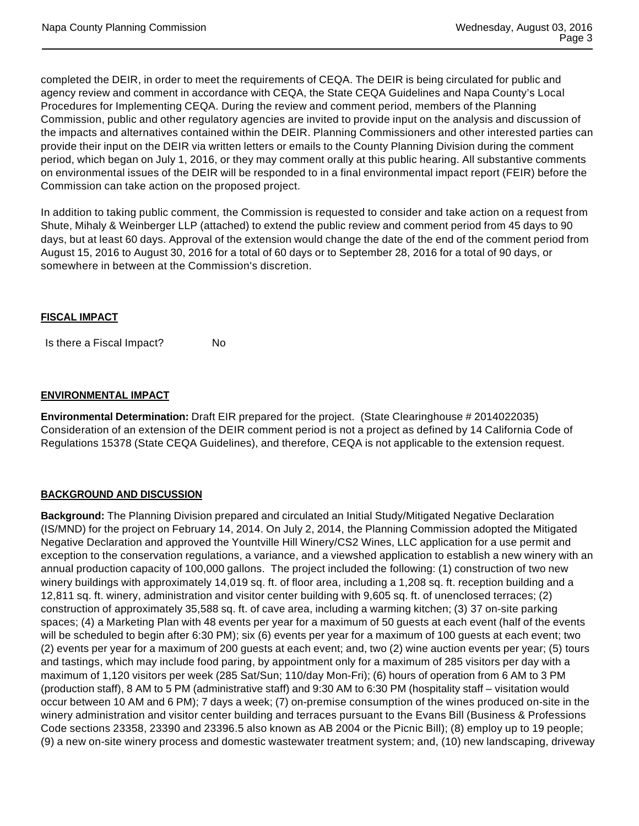completed the DEIR, in order to meet the requirements of CEQA. The DEIR is being circulated for public and agency review and comment in accordance with CEQA, the State CEQA Guidelines and Napa County's Local Procedures for Implementing CEQA. During the review and comment period, members of the Planning Commission, public and other regulatory agencies are invited to provide input on the analysis and discussion of the impacts and alternatives contained within the DEIR. Planning Commissioners and other interested parties can provide their input on the DEIR via written letters or emails to the County Planning Division during the comment period, which began on July 1, 2016, or they may comment orally at this public hearing. All substantive comments on environmental issues of the DEIR will be responded to in a final environmental impact report (FEIR) before the Commission can take action on the proposed project.

In addition to taking public comment, the Commission is requested to consider and take action on a request from Shute, Mihaly & Weinberger LLP (attached) to extend the public review and comment period from 45 days to 90 days, but at least 60 days. Approval of the extension would change the date of the end of the comment period from August 15, 2016 to August 30, 2016 for a total of 60 days or to September 28, 2016 for a total of 90 days, or somewhere in between at the Commission's discretion.

## **FISCAL IMPACT**

Is there a Fiscal Impact? No

# **ENVIRONMENTAL IMPACT**

**Environmental Determination:** Draft EIR prepared for the project. (State Clearinghouse # 2014022035) Consideration of an extension of the DEIR comment period is not a project as defined by 14 California Code of Regulations 15378 (State CEQA Guidelines), and therefore, CEQA is not applicable to the extension request.

## **BACKGROUND AND DISCUSSION**

**Background:** The Planning Division prepared and circulated an Initial Study/Mitigated Negative Declaration (IS/MND) for the project on February 14, 2014. On July 2, 2014, the Planning Commission adopted the Mitigated Negative Declaration and approved the Yountville Hill Winery/CS2 Wines, LLC application for a use permit and exception to the conservation regulations, a variance, and a viewshed application to establish a new winery with an annual production capacity of 100,000 gallons. The project included the following: (1) construction of two new winery buildings with approximately 14,019 sq. ft. of floor area, including a 1,208 sq. ft. reception building and a 12,811 sq. ft. winery, administration and visitor center building with 9,605 sq. ft. of unenclosed terraces; (2) construction of approximately 35,588 sq. ft. of cave area, including a warming kitchen; (3) 37 on-site parking spaces; (4) a Marketing Plan with 48 events per year for a maximum of 50 guests at each event (half of the events will be scheduled to begin after 6:30 PM); six (6) events per year for a maximum of 100 guests at each event; two (2) events per year for a maximum of 200 guests at each event; and, two (2) wine auction events per year; (5) tours and tastings, which may include food paring, by appointment only for a maximum of 285 visitors per day with a maximum of 1,120 visitors per week (285 Sat/Sun; 110/day Mon-Fri); (6) hours of operation from 6 AM to 3 PM (production staff), 8 AM to 5 PM (administrative staff) and 9:30 AM to 6:30 PM (hospitality staff – visitation would occur between 10 AM and 6 PM); 7 days a week; (7) on-premise consumption of the wines produced on-site in the winery administration and visitor center building and terraces pursuant to the Evans Bill (Business & Professions Code sections 23358, 23390 and 23396.5 also known as AB 2004 or the Picnic Bill); (8) employ up to 19 people; (9) a new on-site winery process and domestic wastewater treatment system; and, (10) new landscaping, driveway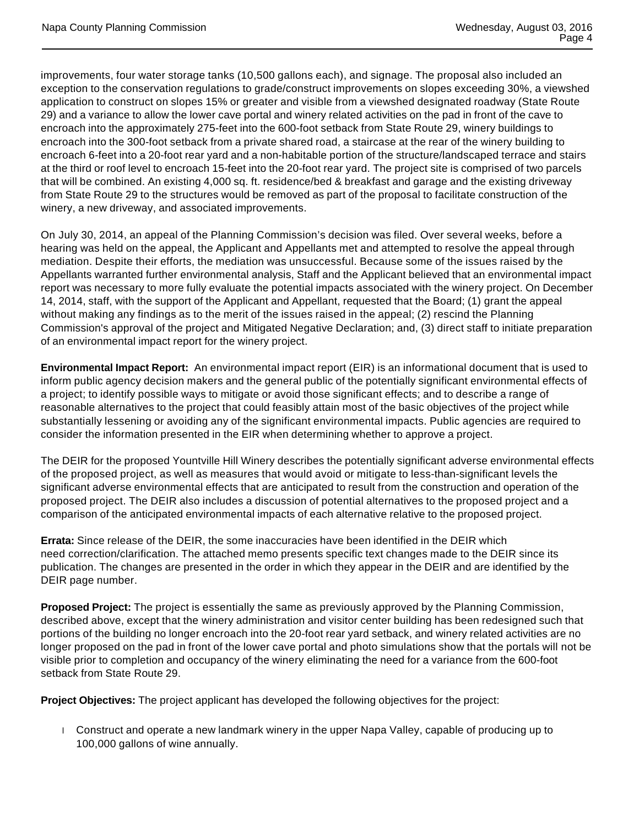improvements, four water storage tanks (10,500 gallons each), and signage. The proposal also included an exception to the conservation regulations to grade/construct improvements on slopes exceeding 30%, a viewshed application to construct on slopes 15% or greater and visible from a viewshed designated roadway (State Route 29) and a variance to allow the lower cave portal and winery related activities on the pad in front of the cave to encroach into the approximately 275-feet into the 600-foot setback from State Route 29, winery buildings to encroach into the 300-foot setback from a private shared road, a staircase at the rear of the winery building to encroach 6-feet into a 20-foot rear yard and a non-habitable portion of the structure/landscaped terrace and stairs at the third or roof level to encroach 15-feet into the 20-foot rear yard. The project site is comprised of two parcels that will be combined. An existing 4,000 sq. ft. residence/bed & breakfast and garage and the existing driveway from State Route 29 to the structures would be removed as part of the proposal to facilitate construction of the winery, a new driveway, and associated improvements.

On July 30, 2014, an appeal of the Planning Commission's decision was filed. Over several weeks, before a hearing was held on the appeal, the Applicant and Appellants met and attempted to resolve the appeal through mediation. Despite their efforts, the mediation was unsuccessful. Because some of the issues raised by the Appellants warranted further environmental analysis, Staff and the Applicant believed that an environmental impact report was necessary to more fully evaluate the potential impacts associated with the winery project. On December 14, 2014, staff, with the support of the Applicant and Appellant, requested that the Board; (1) grant the appeal without making any findings as to the merit of the issues raised in the appeal; (2) rescind the Planning Commission's approval of the project and Mitigated Negative Declaration; and, (3) direct staff to initiate preparation of an environmental impact report for the winery project.

**Environmental Impact Report:** An environmental impact report (EIR) is an informational document that is used to inform public agency decision makers and the general public of the potentially significant environmental effects of a project; to identify possible ways to mitigate or avoid those significant effects; and to describe a range of reasonable alternatives to the project that could feasibly attain most of the basic objectives of the project while substantially lessening or avoiding any of the significant environmental impacts. Public agencies are required to consider the information presented in the EIR when determining whether to approve a project.

The DEIR for the proposed Yountville Hill Winery describes the potentially significant adverse environmental effects of the proposed project, as well as measures that would avoid or mitigate to less-than-significant levels the significant adverse environmental effects that are anticipated to result from the construction and operation of the proposed project. The DEIR also includes a discussion of potential alternatives to the proposed project and a comparison of the anticipated environmental impacts of each alternative relative to the proposed project.

**Errata:** Since release of the DEIR, the some inaccuracies have been identified in the DEIR which need correction/clarification. The attached memo presents specific text changes made to the DEIR since its publication. The changes are presented in the order in which they appear in the DEIR and are identified by the DEIR page number.

**Proposed Project:** The project is essentially the same as previously approved by the Planning Commission, described above, except that the winery administration and visitor center building has been redesigned such that portions of the building no longer encroach into the 20-foot rear yard setback, and winery related activities are no longer proposed on the pad in front of the lower cave portal and photo simulations show that the portals will not be visible prior to completion and occupancy of the winery eliminating the need for a variance from the 600-foot setback from State Route 29.

**Project Objectives:** The project applicant has developed the following objectives for the project:

 Construct and operate a new landmark winery in the upper Napa Valley, capable of producing up to 100,000 gallons of wine annually.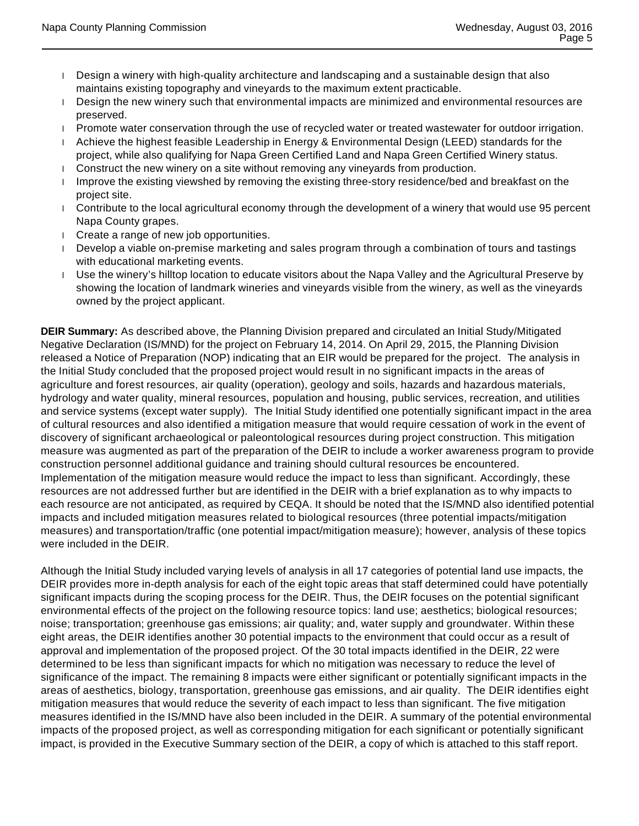- Design a winery with high-quality architecture and landscaping and a sustainable design that also maintains existing topography and vineyards to the maximum extent practicable.
- Design the new winery such that environmental impacts are minimized and environmental resources are preserved.
- Promote water conservation through the use of recycled water or treated wastewater for outdoor irrigation.
- Achieve the highest feasible Leadership in Energy & Environmental Design (LEED) standards for the project, while also qualifying for Napa Green Certified Land and Napa Green Certified Winery status.
- **Construct the new winery on a site without removing any vineyards from production.**
- I Improve the existing viewshed by removing the existing three-story residence/bed and breakfast on the project site.
- Contribute to the local agricultural economy through the development of a winery that would use 95 percent Napa County grapes.
- Create a range of new job opportunities.
- Develop a viable on-premise marketing and sales program through a combination of tours and tastings with educational marketing events.
- Use the winery's hilltop location to educate visitors about the Napa Valley and the Agricultural Preserve by showing the location of landmark wineries and vineyards visible from the winery, as well as the vineyards owned by the project applicant.

**DEIR Summary:** As described above, the Planning Division prepared and circulated an Initial Study/Mitigated Negative Declaration (IS/MND) for the project on February 14, 2014. On April 29, 2015, the Planning Division released a Notice of Preparation (NOP) indicating that an EIR would be prepared for the project. The analysis in the Initial Study concluded that the proposed project would result in no significant impacts in the areas of agriculture and forest resources, air quality (operation), geology and soils, hazards and hazardous materials, hydrology and water quality, mineral resources, population and housing, public services, recreation, and utilities and service systems (except water supply). The Initial Study identified one potentially significant impact in the area of cultural resources and also identified a mitigation measure that would require cessation of work in the event of discovery of significant archaeological or paleontological resources during project construction. This mitigation measure was augmented as part of the preparation of the DEIR to include a worker awareness program to provide construction personnel additional guidance and training should cultural resources be encountered. Implementation of the mitigation measure would reduce the impact to less than significant. Accordingly, these resources are not addressed further but are identified in the DEIR with a brief explanation as to why impacts to each resource are not anticipated, as required by CEQA. It should be noted that the IS/MND also identified potential impacts and included mitigation measures related to biological resources (three potential impacts/mitigation measures) and transportation/traffic (one potential impact/mitigation measure); however, analysis of these topics were included in the DEIR.

Although the Initial Study included varying levels of analysis in all 17 categories of potential land use impacts, the DEIR provides more in-depth analysis for each of the eight topic areas that staff determined could have potentially significant impacts during the scoping process for the DEIR. Thus, the DEIR focuses on the potential significant environmental effects of the project on the following resource topics: land use; aesthetics; biological resources; noise; transportation; greenhouse gas emissions; air quality; and, water supply and groundwater. Within these eight areas, the DEIR identifies another 30 potential impacts to the environment that could occur as a result of approval and implementation of the proposed project. Of the 30 total impacts identified in the DEIR, 22 were determined to be less than significant impacts for which no mitigation was necessary to reduce the level of significance of the impact. The remaining 8 impacts were either significant or potentially significant impacts in the areas of aesthetics, biology, transportation, greenhouse gas emissions, and air quality. The DEIR identifies eight mitigation measures that would reduce the severity of each impact to less than significant. The five mitigation measures identified in the IS/MND have also been included in the DEIR. A summary of the potential environmental impacts of the proposed project, as well as corresponding mitigation for each significant or potentially significant impact, is provided in the Executive Summary section of the DEIR, a copy of which is attached to this staff report.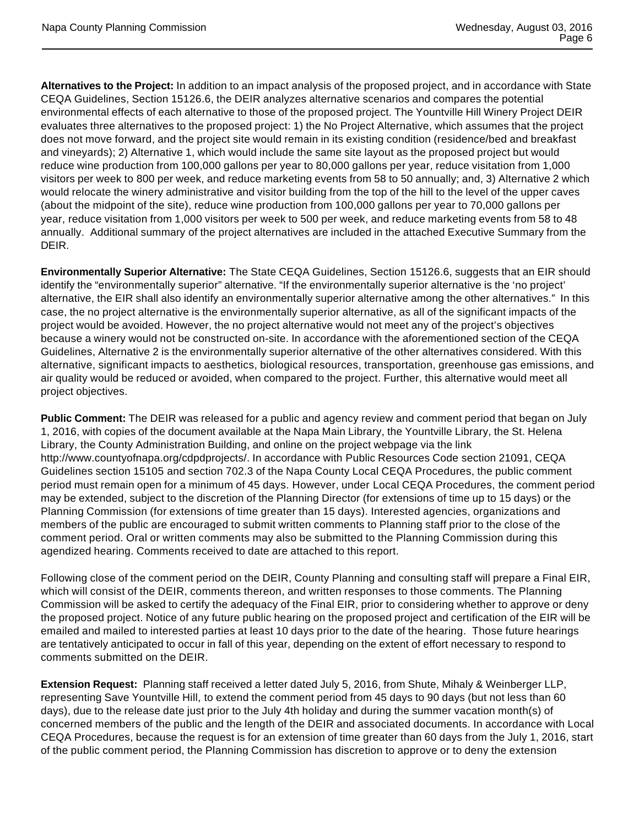**Alternatives to the Project:** In addition to an impact analysis of the proposed project, and in accordance with State CEQA Guidelines, Section 15126.6, the DEIR analyzes alternative scenarios and compares the potential environmental effects of each alternative to those of the proposed project. The Yountville Hill Winery Project DEIR evaluates three alternatives to the proposed project: 1) the No Project Alternative, which assumes that the project does not move forward, and the project site would remain in its existing condition (residence/bed and breakfast and vineyards); 2) Alternative 1, which would include the same site layout as the proposed project but would reduce wine production from 100,000 gallons per year to 80,000 gallons per year, reduce visitation from 1,000 visitors per week to 800 per week, and reduce marketing events from 58 to 50 annually; and, 3) Alternative 2 which would relocate the winery administrative and visitor building from the top of the hill to the level of the upper caves (about the midpoint of the site), reduce wine production from 100,000 gallons per year to 70,000 gallons per year, reduce visitation from 1,000 visitors per week to 500 per week, and reduce marketing events from 58 to 48 annually. Additional summary of the project alternatives are included in the attached Executive Summary from the DEIR.

**Environmentally Superior Alternative:** The State CEQA Guidelines, Section 15126.6, suggests that an EIR should identify the "environmentally superior" alternative. "If the environmentally superior alternative is the 'no project' alternative, the EIR shall also identify an environmentally superior alternative among the other alternatives." In this case, the no project alternative is the environmentally superior alternative, as all of the significant impacts of the project would be avoided. However, the no project alternative would not meet any of the project's objectives because a winery would not be constructed on-site. In accordance with the aforementioned section of the CEQA Guidelines, Alternative 2 is the environmentally superior alternative of the other alternatives considered. With this alternative, significant impacts to aesthetics, biological resources, transportation, greenhouse gas emissions, and air quality would be reduced or avoided, when compared to the project. Further, this alternative would meet all project objectives.

**Public Comment:** The DEIR was released for a public and agency review and comment period that began on July 1, 2016, with copies of the document available at the Napa Main Library, the Yountville Library, the St. Helena Library, the County Administration Building, and online on the project webpage via the link http://www.countyofnapa.org/cdpdprojects/. In accordance with Public Resources Code section 21091, CEQA Guidelines section 15105 and section 702.3 of the Napa County Local CEQA Procedures, the public comment period must remain open for a minimum of 45 days. However, under Local CEQA Procedures, the comment period may be extended, subject to the discretion of the Planning Director (for extensions of time up to 15 days) or the Planning Commission (for extensions of time greater than 15 days). Interested agencies, organizations and members of the public are encouraged to submit written comments to Planning staff prior to the close of the comment period. Oral or written comments may also be submitted to the Planning Commission during this agendized hearing. Comments received to date are attached to this report.

Following close of the comment period on the DEIR, County Planning and consulting staff will prepare a Final EIR, which will consist of the DEIR, comments thereon, and written responses to those comments. The Planning Commission will be asked to certify the adequacy of the Final EIR, prior to considering whether to approve or deny the proposed project. Notice of any future public hearing on the proposed project and certification of the EIR will be emailed and mailed to interested parties at least 10 days prior to the date of the hearing. Those future hearings are tentatively anticipated to occur in fall of this year, depending on the extent of effort necessary to respond to comments submitted on the DEIR.

**Extension Request:** Planning staff received a letter dated July 5, 2016, from Shute, Mihaly & Weinberger LLP, representing Save Yountville Hill, to extend the comment period from 45 days to 90 days (but not less than 60 days), due to the release date just prior to the July 4th holiday and during the summer vacation month(s) of concerned members of the public and the length of the DEIR and associated documents. In accordance with Local CEQA Procedures, because the request is for an extension of time greater than 60 days from the July 1, 2016, start of the public comment period, the Planning Commission has discretion to approve or to deny the extension